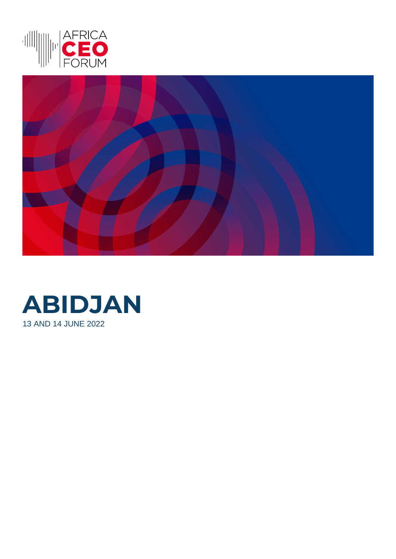



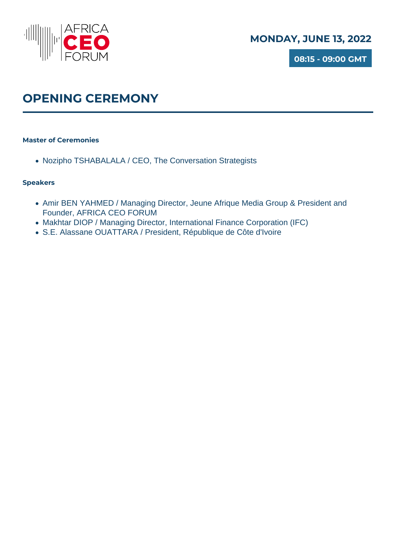

**08:15 - 09:00 GMT**

## **OPENING CEREMONY**

### **Master of Ceremonies**

• Nozipho TSHABALALA / CEO, The Conversation Strategists

- Amir BEN YAHMED / Managing Director, Jeune Afrique Media Group & President and Founder, AFRICA CEO FORUM
- Makhtar DIOP / Managing Director, International Finance Corporation (IFC)
- S.E. Alassane OUATTARA / President, République de Côte d'Ivoire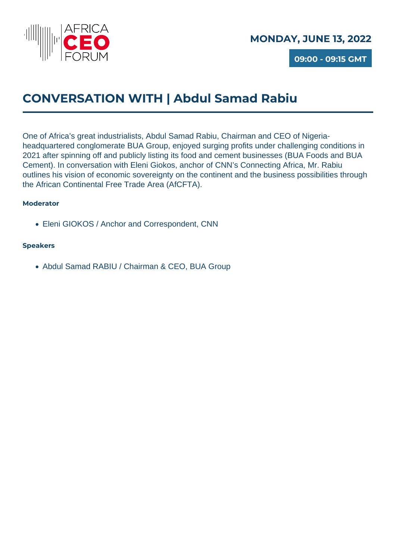

**09:00 - 09:15 GMT**

## **CONVERSATION WITH | Abdul Samad Rabiu**

One of Africa's great industrialists, Abdul Samad Rabiu, Chairman and CEO of Nigeriaheadquartered conglomerate BUA Group, enjoyed surging profits under challenging conditions in 2021 after spinning off and publicly listing its food and cement businesses (BUA Foods and BUA Cement). In conversation with Eleni Giokos, anchor of CNN's Connecting Africa, Mr. Rabiu outlines his vision of economic sovereignty on the continent and the business possibilities through the African Continental Free Trade Area (AfCFTA).

### **Moderator**

Eleni GIOKOS / Anchor and Correspondent, CNN

### **Speakers**

Abdul Samad RABIU / Chairman & CEO, BUA Group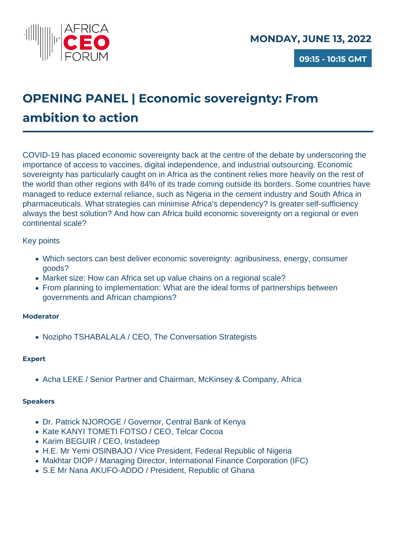

# **OPENING PANEL | Economic sovereignty: From ambition to action**

COVID-19 has placed economic sovereignty back at the centre of the debate by underscoring the importance of access to vaccines, digital independence, and industrial outsourcing. Economic sovereignty has particularly caught on in Africa as the continent relies more heavily on the rest of the world than other regions with 84% of its trade coming outside its borders. Some countries have managed to reduce external reliance, such as Nigeria in the cement industry and South Africa in pharmaceuticals. What strategies can minimise Africa's dependency? Is greater self-sufficiency always the best solution? And how can Africa build economic sovereignty on a regional or even continental scale?

### Key points

- Which sectors can best deliver economic sovereignty: agribusiness, energy, consumer goods?
- Market size: How can Africa set up value chains on a regional scale?
- From planning to implementation: What are the ideal forms of partnerships between governments and African champions?

### **Moderator**

Nozipho TSHABALALA / CEO, The Conversation Strategists

### **Expert**

• Acha LEKE / Senior Partner and Chairman, McKinsey & Company, Africa

- Dr. Patrick NJOROGE / Governor, Central Bank of Kenya
- Kate KANYI TOMETI FOTSO / CEO, Telcar Cocoa
- Karim BEGUIR / CEO, Instadeep
- H.E. Mr Yemi OSINBAJO / Vice President, Federal Republic of Nigeria
- Makhtar DIOP / Managing Director, International Finance Corporation (IFC)
- S.E Mr Nana AKUFO-ADDO / President, Republic of Ghana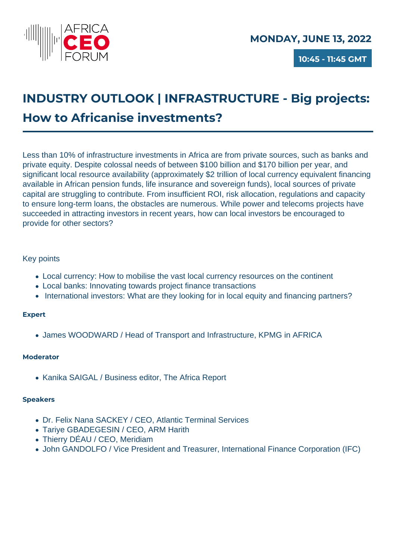

## **INDUSTRY OUTLOOK | INFRASTRUCTURE - Big projects: How to Africanise investments?**

Less than 10% of infrastructure investments in Africa are from private sources, such as banks and private equity. Despite colossal needs of between \$100 billion and \$170 billion per year, and significant local resource availability (approximately \$2 trillion of local currency equivalent financing available in African pension funds, life insurance and sovereign funds), local sources of private capital are struggling to contribute. From insufficient ROI, risk allocation, regulations and capacity to ensure long-term loans, the obstacles are numerous. While power and telecoms projects have succeeded in attracting investors in recent years, how can local investors be encouraged to provide for other sectors?

### Key points

- Local currency: How to mobilise the vast local currency resources on the continent
- Local banks: Innovating towards project finance transactions
- International investors: What are they looking for in local equity and financing partners?

### **Expert**

James WOODWARD / Head of Transport and Infrastructure, KPMG in AFRICA

### **Moderator**

• Kanika SAIGAL / Business editor, The Africa Report

- Dr. Felix Nana SACKEY / CEO, Atlantic Terminal Services
- Tariye GBADEGESIN / CEO, ARM Harith
- Thierry DÉAU / CEO, Meridiam
- John GANDOLFO / Vice President and Treasurer, International Finance Corporation (IFC)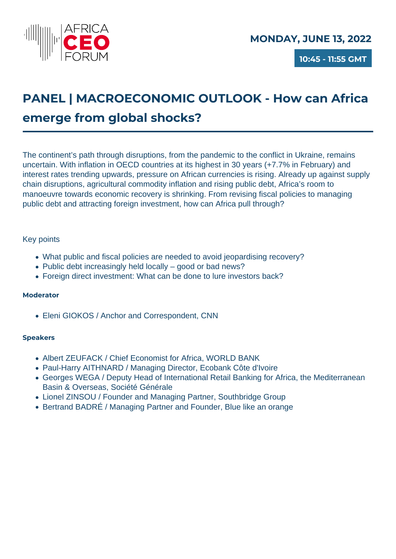

# **PANEL | MACROECONOMIC OUTLOOK - How can Africa emerge from global shocks?**

The continent's path through disruptions, from the pandemic to the conflict in Ukraine, remains uncertain. With inflation in OECD countries at its highest in 30 years (+7.7% in February) and interest rates trending upwards, pressure on African currencies is rising. Already up against supply chain disruptions, agricultural commodity inflation and rising public debt, Africa's room to manoeuvre towards economic recovery is shrinking. From revising fiscal policies to managing public debt and attracting foreign investment, how can Africa pull through?

### Key points

- What public and fiscal policies are needed to avoid jeopardising recovery?
- Public debt increasingly held locally good or bad news?
- Foreign direct investment: What can be done to lure investors back?

### **Moderator**

Eleni GIOKOS / Anchor and Correspondent, CNN

- Albert ZEUFACK / Chief Economist for Africa, WORLD BANK
- Paul-Harry AITHNARD / Managing Director, Ecobank Côte d'Ivoire
- Georges WEGA / Deputy Head of International Retail Banking for Africa, the Mediterranean Basin & Overseas, Société Générale
- Lionel ZINSOU / Founder and Managing Partner, Southbridge Group
- Bertrand BADRÉ / Managing Partner and Founder, Blue like an orange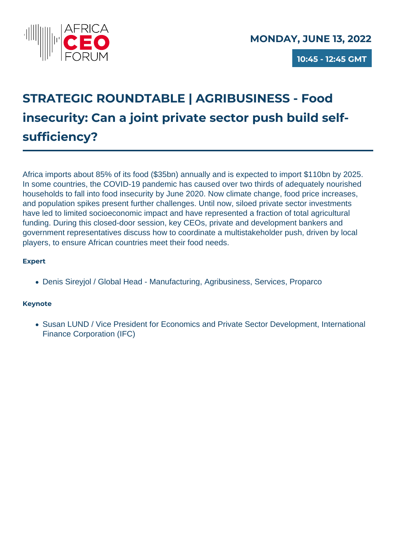

**10:45 - 12:45 GMT**

# **STRATEGIC ROUNDTABLE | AGRIBUSINESS - Food insecurity: Can a joint private sector push build selfsufficiency?**

Africa imports about 85% of its food (\$35bn) annually and is expected to import \$110bn by 2025. In some countries, the COVID-19 pandemic has caused over two thirds of adequately nourished households to fall into food insecurity by June 2020. Now climate change, food price increases, and population spikes present further challenges. Until now, siloed private sector investments have led to limited socioeconomic impact and have represented a fraction of total agricultural funding. During this closed-door session, key CEOs, private and development bankers and government representatives discuss how to coordinate a multistakeholder push, driven by local players, to ensure African countries meet their food needs.

### **Expert**

Denis Sireyjol / Global Head - Manufacturing, Agribusiness, Services, Proparco

### **Keynote**

• Susan LUND / Vice President for Economics and Private Sector Development, International Finance Corporation (IFC)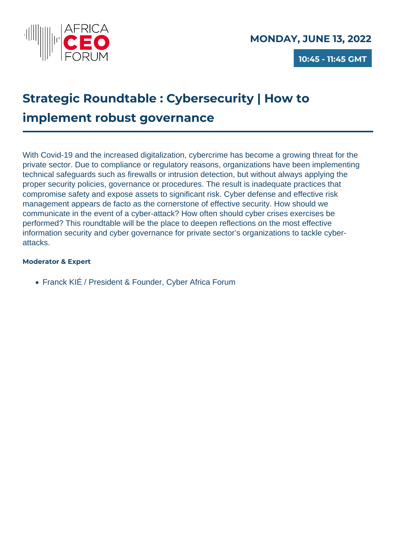

**10:45 - 11:45 GMT**

## **Strategic Roundtable : Cybersecurity | How to implement robust governance**

With Covid-19 and the increased digitalization, cybercrime has become a growing threat for the private sector. Due to compliance or regulatory reasons, organizations have been implementing technical safeguards such as firewalls or intrusion detection, but without always applying the proper security policies, governance or procedures. The result is inadequate practices that compromise safety and expose assets to significant risk. Cyber defense and effective risk management appears de facto as the cornerstone of effective security. How should we communicate in the event of a cyber-attack? How often should cyber crises exercises be performed? This roundtable will be the place to deepen reflections on the most effective information security and cyber governance for private sector's organizations to tackle cyberattacks.

### **Moderator & Expert**

Franck KIÉ / President & Founder, Cyber Africa Forum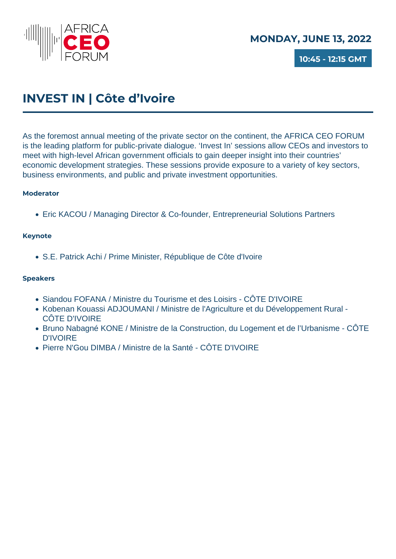

**10:45 - 12:15 GMT**

## **INVEST IN | Côte d'Ivoire**

As the foremost annual meeting of the private sector on the continent, the AFRICA CEO FORUM is the leading platform for public-private dialogue. 'Invest In' sessions allow CEOs and investors to meet with high-level African government officials to gain deeper insight into their countries' economic development strategies. These sessions provide exposure to a variety of key sectors, business environments, and public and private investment opportunities.

### **Moderator**

Eric KACOU / Managing Director & Co-founder, Entrepreneurial Solutions Partners

### **Keynote**

S.E. Patrick Achi / Prime Minister, République de Côte d'Ivoire

- Siandou FOFANA / Ministre du Tourisme et des Loisirs CÔTE D'IVOIRE
- Kobenan Kouassi ADJOUMANI / Ministre de l'Agriculture et du Développement Rural CÔTE D'IVOIRE
- Bruno Nabagné KONE / Ministre de la Construction, du Logement et de l'Urbanisme CÔTE D'IVOIRE
- Pierre N'Gou DIMBA / Ministre de la Santé CÔTE D'IVOIRE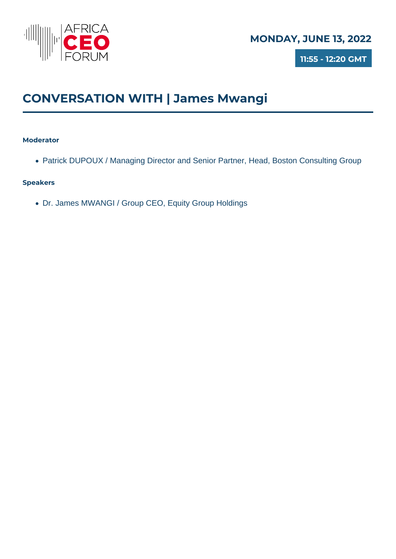

**11:55 - 12:20 GMT**

## **CONVERSATION WITH | James Mwangi**

### **Moderator**

Patrick DUPOUX / Managing Director and Senior Partner, Head, Boston Consulting Group

### **Speakers**

Dr. James MWANGI / Group CEO, Equity Group Holdings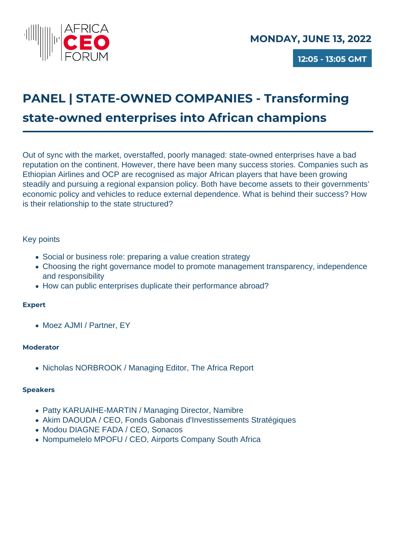

**12:05 - 13:05 GMT**

# **PANEL | STATE-OWNED COMPANIES - Transforming state-owned enterprises into African champions**

Out of sync with the market, overstaffed, poorly managed: state-owned enterprises have a bad reputation on the continent. However, there have been many success stories. Companies such as Ethiopian Airlines and OCP are recognised as major African players that have been growing steadily and pursuing a regional expansion policy. Both have become assets to their governments' economic policy and vehicles to reduce external dependence. What is behind their success? How is their relationship to the state structured?

### Key points

- Social or business role: preparing a value creation strategy
- Choosing the right governance model to promote management transparency, independence and responsibility
- How can public enterprises duplicate their performance abroad?

### **Expert**

• Moez AJMI / Partner, EY

### **Moderator**

Nicholas NORBROOK / Managing Editor, The Africa Report

- Patty KARUAIHE-MARTIN / Managing Director, Namibre
- Akim DAOUDA / CEO, Fonds Gabonais d'Investissements Stratégiques
- Modou DIAGNE FADA / CEO, Sonacos
- Nompumelelo MPOFU / CEO, Airports Company South Africa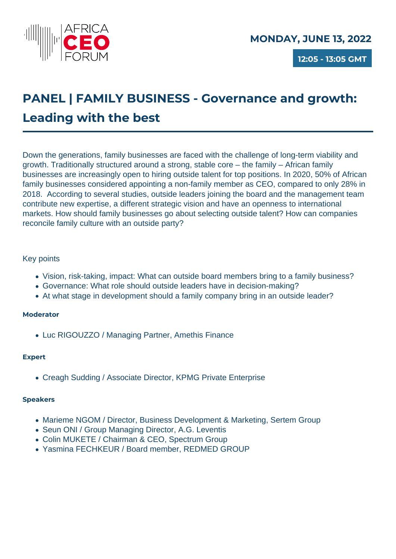

**12:05 - 13:05 GMT**

## **PANEL | FAMILY BUSINESS - Governance and growth: Leading with the best**

Down the generations, family businesses are faced with the challenge of long-term viability and growth. Traditionally structured around a strong, stable core – the family – African family businesses are increasingly open to hiring outside talent for top positions. In 2020, 50% of African family businesses considered appointing a non-family member as CEO, compared to only 28% in 2018. According to several studies, outside leaders joining the board and the management team contribute new expertise, a different strategic vision and have an openness to international markets. How should family businesses go about selecting outside talent? How can companies reconcile family culture with an outside party?

### Key points

- Vision, risk-taking, impact: What can outside board members bring to a family business?
- Governance: What role should outside leaders have in decision-making?
- At what stage in development should a family company bring in an outside leader?

### **Moderator**

• Luc RIGOUZZO / Managing Partner, Amethis Finance

### **Expert**

Creagh Sudding / Associate Director, KPMG Private Enterprise

- Marieme NGOM / Director, Business Development & Marketing, Sertem Group
- Seun ONI / Group Managing Director, A.G. Leventis
- Colin MUKETE / Chairman & CEO, Spectrum Group
- Yasmina FECHKEUR / Board member, REDMED GROUP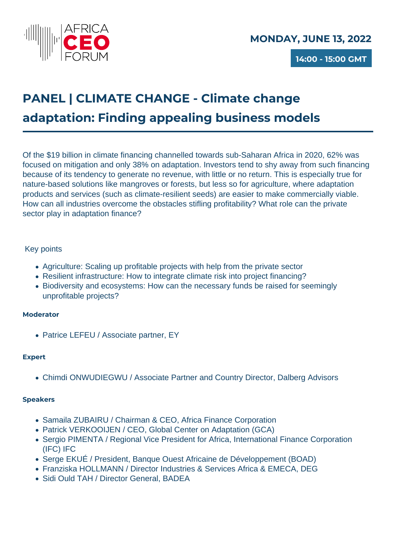

## **PANEL | CLIMATE CHANGE - Climate change adaptation: Finding appealing business models**

Of the \$19 billion in climate financing channelled towards sub-Saharan Africa in 2020, 62% was focused on mitigation and only 38% on adaptation. Investors tend to shy away from such financing because of its tendency to generate no revenue, with little or no return. This is especially true for nature-based solutions like mangroves or forests, but less so for agriculture, where adaptation products and services (such as climate-resilient seeds) are easier to make commercially viable. How can all industries overcome the obstacles stifling profitability? What role can the private sector play in adaptation finance?

### Key points

- Agriculture: Scaling up profitable projects with help from the private sector
- Resilient infrastructure: How to integrate climate risk into project financing?
- Biodiversity and ecosystems: How can the necessary funds be raised for seemingly unprofitable projects?

### **Moderator**

• Patrice LEFEU / Associate partner, EY

### **Expert**

Chimdi ONWUDIEGWU / Associate Partner and Country Director, Dalberg Advisors

- Samaila ZUBAIRU / Chairman & CEO, Africa Finance Corporation
- Patrick VERKOOIJEN / CEO, Global Center on Adaptation (GCA)
- Sergio PIMENTA / Regional Vice President for Africa, International Finance Corporation (IFC) IFC
- Serge EKUÉ / President, Banque Ouest Africaine de Développement (BOAD)
- Franziska HOLLMANN / Director Industries & Services Africa & EMECA, DEG
- Sidi Ould TAH / Director General, BADEA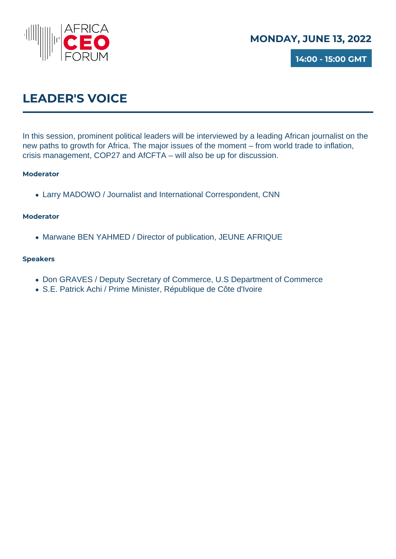

**14:00 - 15:00 GMT**

## **LEADER'S VOICE**

In this session, prominent political leaders will be interviewed by a leading African journalist on the new paths to growth for Africa. The major issues of the moment – from world trade to inflation, crisis management, COP27 and AfCFTA – will also be up for discussion.

### **Moderator**

Larry MADOWO / Journalist and International Correspondent, CNN

### **Moderator**

• Marwane BEN YAHMED / Director of publication, JEUNE AFRIQUE

- Don GRAVES / Deputy Secretary of Commerce, U.S Department of Commerce
- S.E. Patrick Achi / Prime Minister, République de Côte d'Ivoire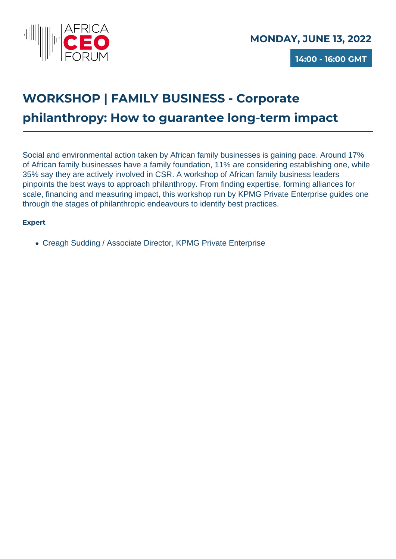

**14:00 - 16:00 GMT**

# **WORKSHOP | FAMILY BUSINESS - Corporate philanthropy: How to guarantee long-term impact**

Social and environmental action taken by African family businesses is gaining pace. Around 17% of African family businesses have a family foundation, 11% are considering establishing one, while 35% say they are actively involved in CSR. A workshop of African family business leaders pinpoints the best ways to approach philanthropy. From finding expertise, forming alliances for scale, financing and measuring impact, this workshop run by KPMG Private Enterprise guides one through the stages of philanthropic endeavours to identify best practices.

### **Expert**

Creagh Sudding / Associate Director, KPMG Private Enterprise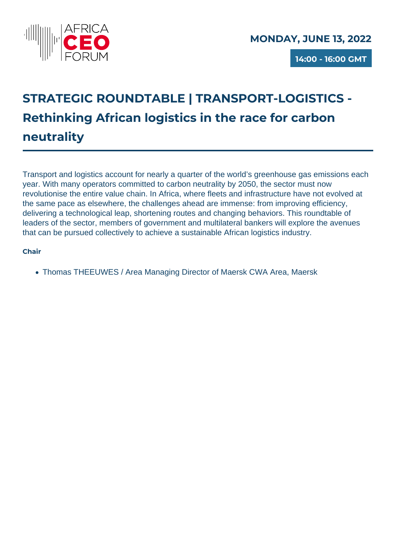

**14:00 - 16:00 GMT**

# **STRATEGIC ROUNDTABLE | TRANSPORT-LOGISTICS - Rethinking African logistics in the race for carbon neutrality**

Transport and logistics account for nearly a quarter of the world's greenhouse gas emissions each year. With many operators committed to carbon neutrality by 2050, the sector must now revolutionise the entire value chain. In Africa, where fleets and infrastructure have not evolved at the same pace as elsewhere, the challenges ahead are immense: from improving efficiency, delivering a technological leap, shortening routes and changing behaviors. This roundtable of leaders of the sector, members of government and multilateral bankers will explore the avenues that can be pursued collectively to achieve a sustainable African logistics industry.

### **Chair**

Thomas THEEUWES / Area Managing Director of Maersk CWA Area, Maersk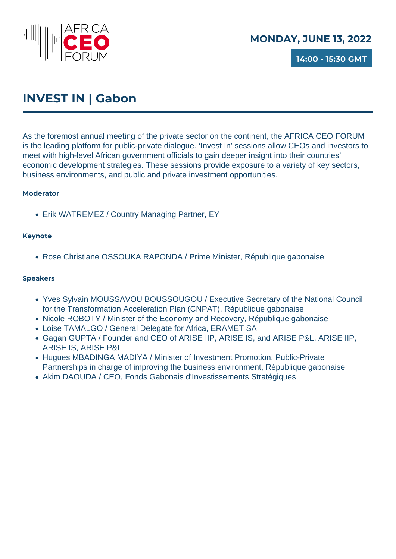

**14:00 - 15:30 GMT**

## **INVEST IN | Gabon**

As the foremost annual meeting of the private sector on the continent, the AFRICA CEO FORUM is the leading platform for public-private dialogue. 'Invest In' sessions allow CEOs and investors to meet with high-level African government officials to gain deeper insight into their countries' economic development strategies. These sessions provide exposure to a variety of key sectors, business environments, and public and private investment opportunities.

### **Moderator**

Erik WATREMEZ / Country Managing Partner, EY

### **Keynote**

Rose Christiane OSSOUKA RAPONDA / Prime Minister, République gabonaise

- Yves Sylvain MOUSSAVOU BOUSSOUGOU / Executive Secretary of the National Council for the Transformation Acceleration Plan (CNPAT), République gabonaise
- Nicole ROBOTY / Minister of the Economy and Recovery, République gabonaise
- Loise TAMALGO / General Delegate for Africa, ERAMET SA
- Gagan GUPTA / Founder and CEO of ARISE IIP, ARISE IS, and ARISE P&L, ARISE IIP, ARISE IS, ARISE P&L
- Hugues MBADINGA MADIYA / Minister of Investment Promotion, Public-Private Partnerships in charge of improving the business environment, République gabonaise
- Akim DAOUDA / CEO, Fonds Gabonais d'Investissements Stratégiques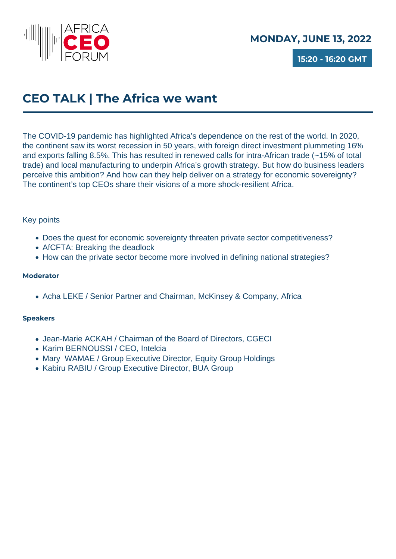

**15:20 - 16:20 GMT**

## **CEO TALK | The Africa we want**

The COVID-19 pandemic has highlighted Africa's dependence on the rest of the world. In 2020, the continent saw its worst recession in 50 years, with foreign direct investment plummeting 16% and exports falling 8.5%. This has resulted in renewed calls for intra-African trade (~15% of total trade) and local manufacturing to underpin Africa's growth strategy. But how do business leaders perceive this ambition? And how can they help deliver on a strategy for economic sovereignty? The continent's top CEOs share their visions of a more shock-resilient Africa.

### Key points

- Does the quest for economic sovereignty threaten private sector competitiveness?
- AfCFTA: Breaking the deadlock
- How can the private sector become more involved in defining national strategies?

### **Moderator**

• Acha LEKE / Senior Partner and Chairman, McKinsey & Company, Africa

- Jean-Marie ACKAH / Chairman of the Board of Directors, CGECI
- Karim BERNOUSSI / CEO, Intelcia
- Mary WAMAE / Group Executive Director, Equity Group Holdings
- Kabiru RABIU / Group Executive Director, BUA Group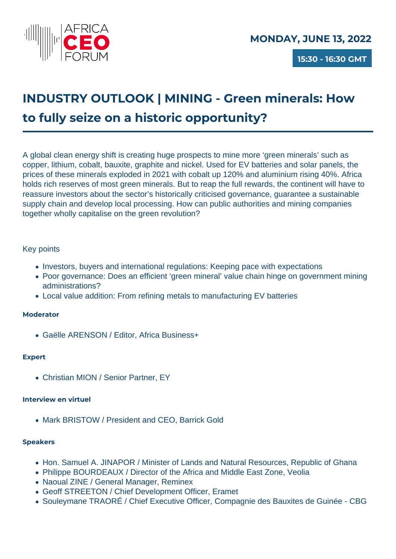

# **INDUSTRY OUTLOOK | MINING - Green minerals: How to fully seize on a historic opportunity?**

A global clean energy shift is creating huge prospects to mine more 'green minerals' such as copper, lithium, cobalt, bauxite, graphite and nickel. Used for EV batteries and solar panels, the prices of these minerals exploded in 2021 with cobalt up 120% and aluminium rising 40%. Africa holds rich reserves of most green minerals. But to reap the full rewards, the continent will have to reassure investors about the sector's historically criticised governance, guarantee a sustainable supply chain and develop local processing. How can public authorities and mining companies together wholly capitalise on the green revolution?

### Key points

- Investors, buyers and international regulations: Keeping pace with expectations
- Poor governance: Does an efficient 'green mineral' value chain hinge on government mining administrations?
- Local value addition: From refining metals to manufacturing EV batteries

### **Moderator**

Gaëlle ARENSON / Editor, Africa Business+

### **Expert**

Christian MION / Senior Partner, EY

### **Interview en virtuel**

• Mark BRISTOW / President and CEO, Barrick Gold

- Hon. Samuel A. JINAPOR / Minister of Lands and Natural Resources, Republic of Ghana
- Philippe BOURDEAUX / Director of the Africa and Middle East Zone, Veolia
- Naoual ZINE / General Manager, Reminex
- Geoff STREETON / Chief Development Officer, Eramet
- Souleymane TRAORÉ / Chief Executive Officer, Compagnie des Bauxites de Guinée CBG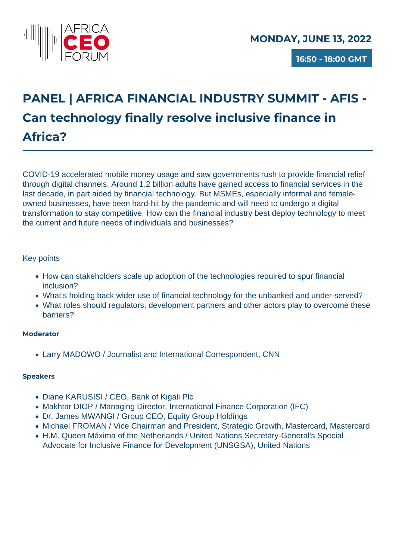

**16:50 - 18:00 GMT**

# **PANEL | AFRICA FINANCIAL INDUSTRY SUMMIT - AFIS - Can technology finally resolve inclusive finance in Africa?**

COVID-19 accelerated mobile money usage and saw governments rush to provide financial relief through digital channels. Around 1.2 billion adults have gained access to financial services in the last decade, in part aided by financial technology. But MSMEs, especially informal and femaleowned businesses, have been hard-hit by the pandemic and will need to undergo a digital transformation to stay competitive. How can the financial industry best deploy technology to meet the current and future needs of individuals and businesses?

### Key points

- How can stakeholders scale up adoption of the technologies required to spur financial inclusion?
- What's holding back wider use of financial technology for the unbanked and under-served?
- What roles should regulators, development partners and other actors play to overcome these barriers?

### **Moderator**

Larry MADOWO / Journalist and International Correspondent, CNN

- Diane KARUSISI / CEO, Bank of Kigali Plc
- Makhtar DIOP / Managing Director, International Finance Corporation (IFC)
- Dr. James MWANGI / Group CEO, Equity Group Holdings
- Michael FROMAN / Vice Chairman and President, Strategic Growth, Mastercard, Mastercard
- H.M. Queen Máxima of the Netherlands / United Nations Secretary-General's Special Advocate for Inclusive Finance for Development (UNSGSA), United Nations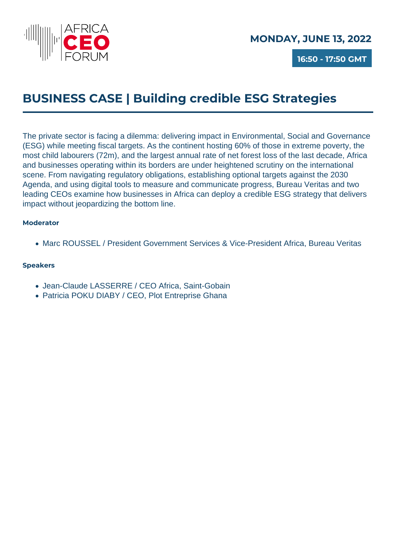

**16:50 - 17:50 GMT**

## **BUSINESS CASE | Building credible ESG Strategies**

The private sector is facing a dilemma: delivering impact in Environmental, Social and Governance (ESG) while meeting fiscal targets. As the continent hosting 60% of those in extreme poverty, the most child labourers (72m), and the largest annual rate of net forest loss of the last decade, Africa and businesses operating within its borders are under heightened scrutiny on the international scene. From navigating regulatory obligations, establishing optional targets against the 2030 Agenda, and using digital tools to measure and communicate progress, Bureau Veritas and two leading CEOs examine how businesses in Africa can deploy a credible ESG strategy that delivers impact without jeopardizing the bottom line.

### **Moderator**

Marc ROUSSEL / President Government Services & Vice-President Africa, Bureau Veritas

- Jean-Claude LASSERRE / CEO Africa, Saint-Gobain
- Patricia POKU DIABY / CEO, Plot Entreprise Ghana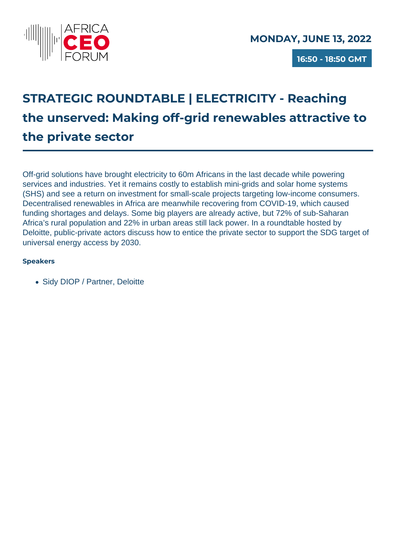

**16:50 - 18:50 GMT**

## **STRATEGIC ROUNDTABLE | ELECTRICITY - Reaching the unserved: Making off-grid renewables attractive to the private sector**

Off-grid solutions have brought electricity to 60m Africans in the last decade while powering services and industries. Yet it remains costly to establish mini-grids and solar home systems (SHS) and see a return on investment for small-scale projects targeting low-income consumers. Decentralised renewables in Africa are meanwhile recovering from COVID-19, which caused funding shortages and delays. Some big players are already active, but 72% of sub-Saharan Africa's rural population and 22% in urban areas still lack power. In a roundtable hosted by Deloitte, public-private actors discuss how to entice the private sector to support the SDG target of universal energy access by 2030.

### **Speakers**

• Sidy DIOP / Partner, Deloitte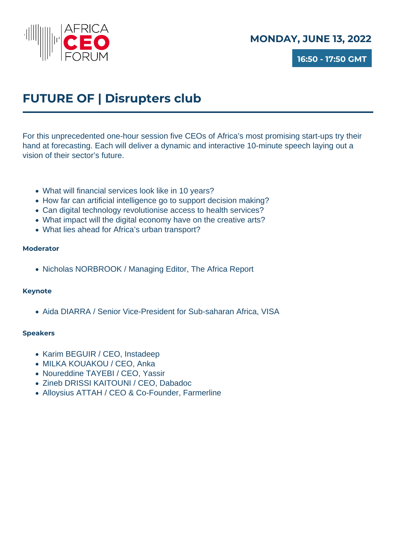

**16:50 - 17:50 GMT**

## **FUTURE OF | Disrupters club**

For this unprecedented one-hour session five CEOs of Africa's most promising start-ups try their hand at forecasting. Each will deliver a dynamic and interactive 10-minute speech laying out a vision of their sector's future.

- What will financial services look like in 10 years?
- How far can artificial intelligence go to support decision making?
- Can digital technology revolutionise access to health services?
- What impact will the digital economy have on the creative arts?
- What lies ahead for Africa's urban transport?

#### **Moderator**

Nicholas NORBROOK / Managing Editor, The Africa Report

#### **Keynote**

• Aida DIARRA / Senior Vice-President for Sub-saharan Africa, VISA

- Karim BEGUIR / CEO, Instadeep
- MILKA KOUAKOU / CEO, Anka
- Noureddine TAYEBI / CEO, Yassir
- Zineb DRISSI KAITOUNI / CEO, Dabadoc
- Alloysius ATTAH / CEO & Co-Founder, Farmerline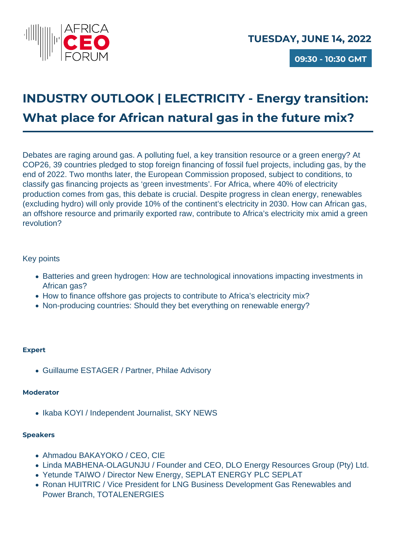

**09:30 - 10:30 GMT**

# **INDUSTRY OUTLOOK | ELECTRICITY - Energy transition: What place for African natural gas in the future mix?**

Debates are raging around gas. A polluting fuel, a key transition resource or a green energy? At COP26, 39 countries pledged to stop foreign financing of fossil fuel projects, including gas, by the end of 2022. Two months later, the European Commission proposed, subject to conditions, to classify gas financing projects as 'green investments'. For Africa, where 40% of electricity production comes from gas, this debate is crucial. Despite progress in clean energy, renewables (excluding hydro) will only provide 10% of the continent's electricity in 2030. How can African gas, an offshore resource and primarily exported raw, contribute to Africa's electricity mix amid a green revolution?

### Key points

- Batteries and green hydrogen: How are technological innovations impacting investments in African gas?
- How to finance offshore gas projects to contribute to Africa's electricity mix?
- Non-producing countries: Should they bet everything on renewable energy?

### **Expert**

Guillaume ESTAGER / Partner, Philae Advisory

### **Moderator**

• Ikaba KOYI / Independent Journalist, SKY NEWS

- Ahmadou BAKAYOKO / CEO, CIE
- Linda MABHENA-OLAGUNJU / Founder and CEO, DLO Energy Resources Group (Pty) Ltd.
- Yetunde TAIWO / Director New Energy, SEPLAT ENERGY PLC SEPLAT
- Ronan HUITRIC / Vice President for LNG Business Development Gas Renewables and Power Branch, TOTALENERGIES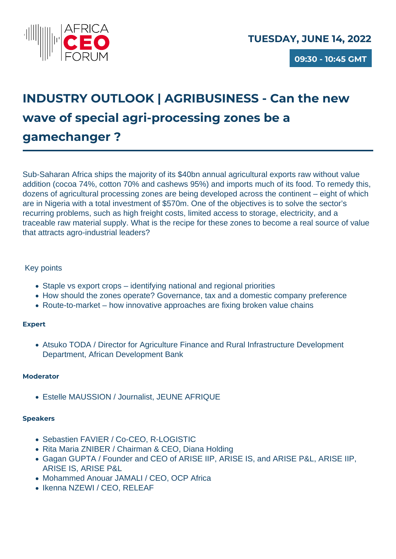

**09:30 - 10:45 GMT**

# **INDUSTRY OUTLOOK | AGRIBUSINESS - Can the new wave of special agri-processing zones be a gamechanger ?**

Sub-Saharan Africa ships the majority of its \$40bn annual agricultural exports raw without value addition (cocoa 74%, cotton 70% and cashews 95%) and imports much of its food. To remedy this, dozens of agricultural processing zones are being developed across the continent – eight of which are in Nigeria with a total investment of \$570m. One of the objectives is to solve the sector's recurring problems, such as high freight costs, limited access to storage, electricity, and a traceable raw material supply. What is the recipe for these zones to become a real source of value that attracts agro-industrial leaders?

### Key points

- Staple vs export crops identifying national and regional priorities
- How should the zones operate? Governance, tax and a domestic company preference
- Route-to-market how innovative approaches are fixing broken value chains

### **Expert**

Atsuko TODA / Director for Agriculture Finance and Rural Infrastructure Development Department, African Development Bank

### **Moderator**

Estelle MAUSSION / Journalist, JEUNE AFRIQUE

- Sebastien FAVIER / Co-CEO, R-LOGISTIC
- Rita Maria ZNIBER / Chairman & CEO, Diana Holding
- Gagan GUPTA / Founder and CEO of ARISE IIP, ARISE IS, and ARISE P&L, ARISE IIP, ARISE IS, ARISE P&L
- Mohammed Anouar JAMALI / CEO, OCP Africa
- Ikenna NZEWI / CEO, RELEAF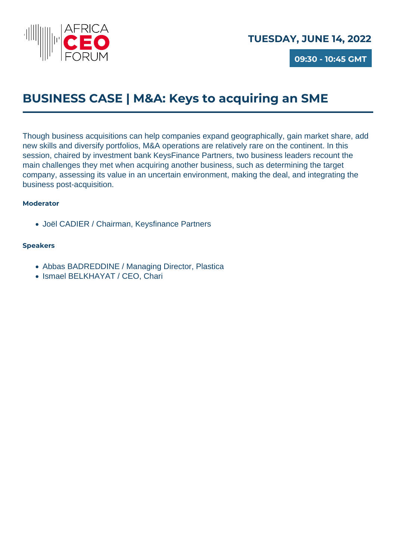

**09:30 - 10:45 GMT**

## **BUSINESS CASE | M&A: Keys to acquiring an SME**

Though business acquisitions can help companies expand geographically, gain market share, add new skills and diversify portfolios, M&A operations are relatively rare on the continent. In this session, chaired by investment bank KeysFinance Partners, two business leaders recount the main challenges they met when acquiring another business, such as determining the target company, assessing its value in an uncertain environment, making the deal, and integrating the business post-acquisition.

### **Moderator**

Joël CADIER / Chairman, Keysfinance Partners

- Abbas BADREDDINE / Managing Director, Plastica
- Ismael BELKHAYAT / CEO, Chari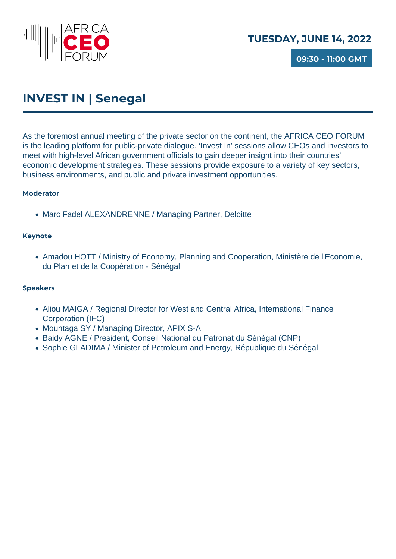

**09:30 - 11:00 GMT**

## **INVEST IN | Senegal**

As the foremost annual meeting of the private sector on the continent, the AFRICA CEO FORUM is the leading platform for public-private dialogue. 'Invest In' sessions allow CEOs and investors to meet with high-level African government officials to gain deeper insight into their countries' economic development strategies. These sessions provide exposure to a variety of key sectors, business environments, and public and private investment opportunities.

### **Moderator**

• Marc Fadel ALEXANDRENNE / Managing Partner, Deloitte

### **Keynote**

Amadou HOTT / Ministry of Economy, Planning and Cooperation, Ministère de l'Economie, du Plan et de la Coopération - Sénégal

- Aliou MAIGA / Regional Director for West and Central Africa, International Finance Corporation (IFC)
- Mountaga SY / Managing Director, APIX S-A
- Baidy AGNE / President, Conseil National du Patronat du Sénégal (CNP)
- Sophie GLADIMA / Minister of Petroleum and Energy, République du Sénégal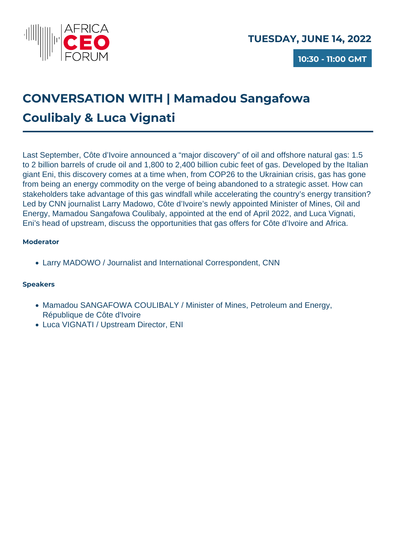

# **CONVERSATION WITH | Mamadou Sangafowa Coulibaly & Luca Vignati**

Last September, Côte d'Ivoire announced a "major discovery" of oil and offshore natural gas: 1.5 to 2 billion barrels of crude oil and 1,800 to 2,400 billion cubic feet of gas. Developed by the Italian giant Eni, this discovery comes at a time when, from COP26 to the Ukrainian crisis, gas has gone from being an energy commodity on the verge of being abandoned to a strategic asset. How can stakeholders take advantage of this gas windfall while accelerating the country's energy transition? Led by CNN journalist Larry Madowo, Côte d'Ivoire's newly appointed Minister of Mines, Oil and Energy, Mamadou Sangafowa Coulibaly, appointed at the end of April 2022, and Luca Vignati, Eni's head of upstream, discuss the opportunities that gas offers for Côte d'Ivoire and Africa.

### **Moderator**

Larry MADOWO / Journalist and International Correspondent, CNN

- Mamadou SANGAFOWA COULIBALY / Minister of Mines, Petroleum and Energy, République de Côte d'Ivoire
- Luca VIGNATI / Upstream Director, ENI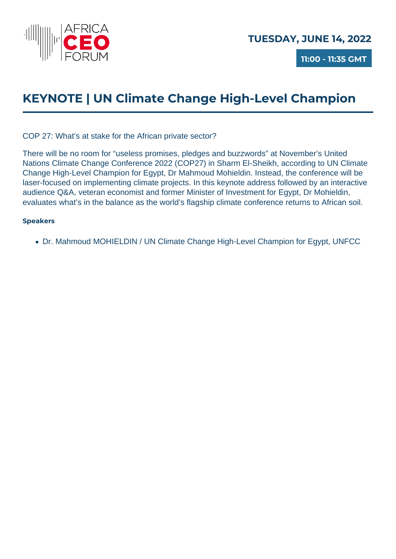

**11:00 - 11:35 GMT**

## **KEYNOTE | UN Climate Change High-Level Champion**

COP 27: What's at stake for the African private sector?

There will be no room for "useless promises, pledges and buzzwords" at November's United Nations Climate Change Conference 2022 (COP27) in Sharm El-Sheikh, according to UN Climate Change High-Level Champion for Egypt, Dr Mahmoud Mohieldin. Instead, the conference will be laser-focused on implementing climate projects. In this keynote address followed by an interactive audience Q&A, veteran economist and former Minister of Investment for Egypt, Dr Mohieldin, evaluates what's in the balance as the world's flagship climate conference returns to African soil.

### **Speakers**

Dr. Mahmoud MOHIELDIN / UN Climate Change High-Level Champion for Egypt, UNFCC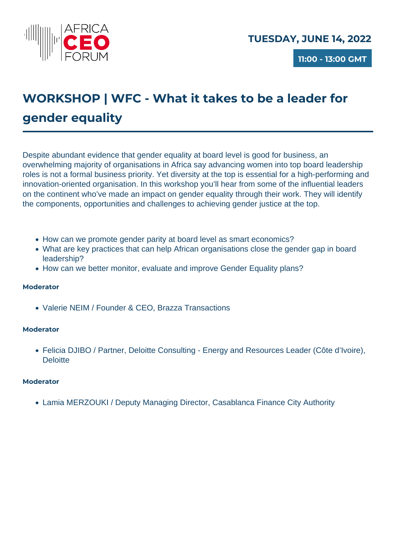

**11:00 - 13:00 GMT**

## **WORKSHOP | WFC - What it takes to be a leader for gender equality**

Despite abundant evidence that gender equality at board level is good for business, an overwhelming majority of organisations in Africa say advancing women into top board leadership roles is not a formal business priority. Yet diversity at the top is essential for a high-performing and innovation-oriented organisation. In this workshop you'll hear from some of the influential leaders on the continent who've made an impact on gender equality through their work. They will identify the components, opportunities and challenges to achieving gender justice at the top.

- How can we promote gender parity at board level as smart economics?
- What are key practices that can help African organisations close the gender gap in board leadership?
- How can we better monitor, evaluate and improve Gender Equality plans?

### **Moderator**

Valerie NEIM / Founder & CEO, Brazza Transactions

#### **Moderator**

Felicia DJIBO / Partner, Deloitte Consulting - Energy and Resources Leader (Côte d'Ivoire), **Deloitte** 

#### **Moderator**

Lamia MERZOUKI / Deputy Managing Director, Casablanca Finance City Authority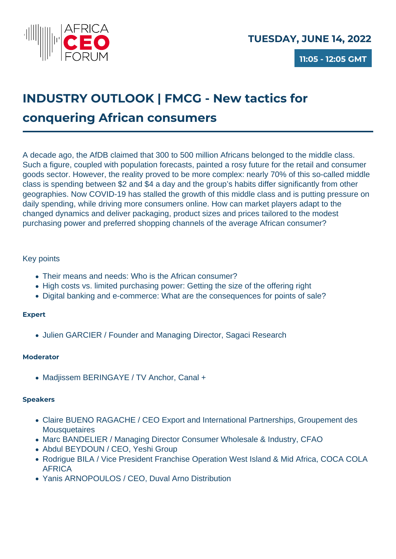

# **INDUSTRY OUTLOOK | FMCG - New tactics for conquering African consumers**

A decade ago, the AfDB claimed that 300 to 500 million Africans belonged to the middle class. Such a figure, coupled with population forecasts, painted a rosy future for the retail and consumer goods sector. However, the reality proved to be more complex: nearly 70% of this so-called middle class is spending between \$2 and \$4 a day and the group's habits differ significantly from other geographies. Now COVID-19 has stalled the growth of this middle class and is putting pressure on daily spending, while driving more consumers online. How can market players adapt to the changed dynamics and deliver packaging, product sizes and prices tailored to the modest purchasing power and preferred shopping channels of the average African consumer?

### Key points

- Their means and needs: Who is the African consumer?
- High costs vs. limited purchasing power: Getting the size of the offering right
- Digital banking and e-commerce: What are the consequences for points of sale?

### **Expert**

• Julien GARCIER / Founder and Managing Director, Sagaci Research

### **Moderator**

• Madjissem BERINGAYE / TV Anchor, Canal +

- Claire BUENO RAGACHE / CEO Export and International Partnerships, Groupement des **Mousquetaires**
- Marc BANDELIER / Managing Director Consumer Wholesale & Industry, CFAO
- Abdul BEYDOUN / CEO, Yeshi Group
- Rodrigue BILA / Vice President Franchise Operation West Island & Mid Africa, COCA COLA AFRICA
- Yanis ARNOPOULOS / CEO, Duval Arno Distribution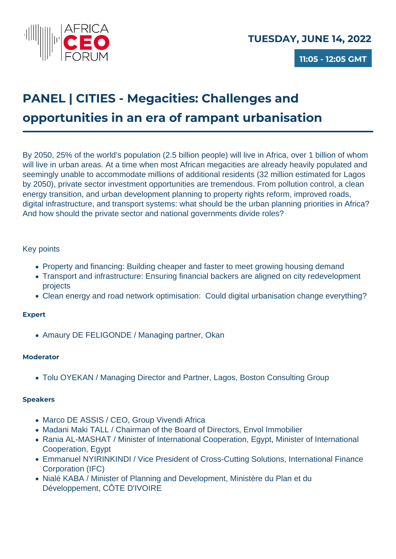

## **PANEL | CITIES - Megacities: Challenges and opportunities in an era of rampant urbanisation**

By 2050, 25% of the world's population (2.5 billion people) will live in Africa, over 1 billion of whom will live in urban areas. At a time when most African megacities are already heavily populated and seemingly unable to accommodate millions of additional residents (32 million estimated for Lagos by 2050), private sector investment opportunities are tremendous. From pollution control, a clean energy transition, and urban development planning to property rights reform, improved roads, digital infrastructure, and transport systems: what should be the urban planning priorities in Africa? And how should the private sector and national governments divide roles?

### Key points

- Property and financing: Building cheaper and faster to meet growing housing demand
- Transport and infrastructure: Ensuring financial backers are aligned on city redevelopment projects
- Clean energy and road network optimisation: Could digital urbanisation change everything?

### **Expert**

• Amaury DE FELIGONDE / Managing partner, Okan

### **Moderator**

Tolu OYEKAN / Managing Director and Partner, Lagos, Boston Consulting Group

- Marco DE ASSIS / CEO, Group Vivendi Africa
- Madani Maki TALL / Chairman of the Board of Directors, Envol Immobilier
- Rania AL-MASHAT / Minister of International Cooperation, Egypt, Minister of International Cooperation, Egypt
- Emmanuel NYIRINKINDI / Vice President of Cross-Cutting Solutions, International Finance Corporation (IFC)
- Nialé KABA / Minister of Planning and Development, Ministère du Plan et du Développement, CÔTE D'IVOIRE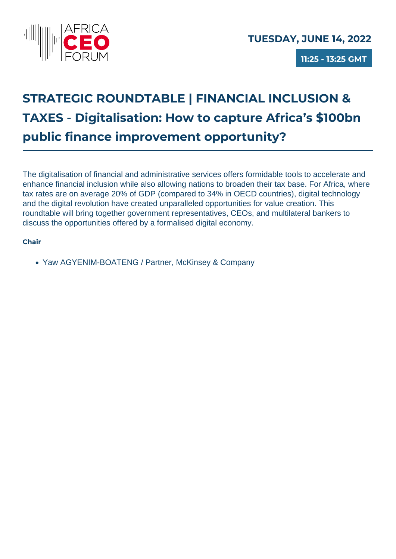

**11:25 - 13:25 GMT**

# **STRATEGIC ROUNDTABLE | FINANCIAL INCLUSION & TAXES - Digitalisation: How to capture Africa's \$100bn public finance improvement opportunity?**

The digitalisation of financial and administrative services offers formidable tools to accelerate and enhance financial inclusion while also allowing nations to broaden their tax base. For Africa, where tax rates are on average 20% of GDP (compared to 34% in OECD countries), digital technology and the digital revolution have created unparalleled opportunities for value creation. This roundtable will bring together government representatives, CEOs, and multilateral bankers to discuss the opportunities offered by a formalised digital economy.

### **Chair**

Yaw AGYENIM-BOATENG / Partner, McKinsey & Company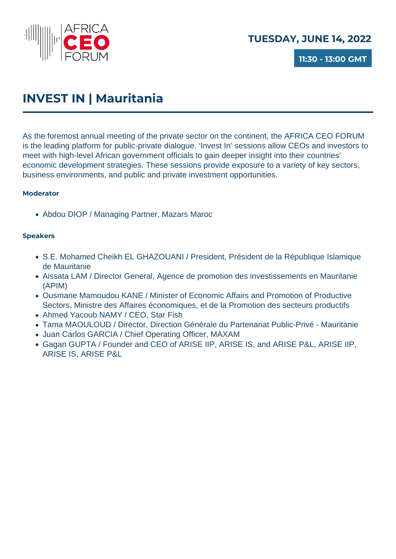

**11:30 - 13:00 GMT**

## **INVEST IN | Mauritania**

As the foremost annual meeting of the private sector on the continent, the AFRICA CEO FORUM is the leading platform for public-private dialogue. 'Invest In' sessions allow CEOs and investors to meet with high-level African government officials to gain deeper insight into their countries' economic development strategies. These sessions provide exposure to a variety of key sectors, business environments, and public and private investment opportunities.

### **Moderator**

Abdou DIOP / Managing Partner, Mazars Maroc

- S.E. Mohamed Cheikh EL GHAZOUANI / President, Président de la République Islamique de Mauritanie
- Aissata LAM / Director General, Agence de promotion des investissements en Mauritanie (APIM)
- Ousmane Mamoudou KANE / Minister of Economic Affairs and Promotion of Productive Sectors, Ministre des Affaires économiques, et de la Promotion des secteurs productifs
- Ahmed Yacoub NAMY / CEO, Star Fish
- Tama MAOULOUD / Director, Direction Générale du Partenariat Public-Privé Mauritanie
- Juan Carlos GARCIA / Chief Operating Officer, MAXAM
- Gagan GUPTA / Founder and CEO of ARISE IIP, ARISE IS, and ARISE P&L, ARISE IIP, ARISE IS, ARISE P&L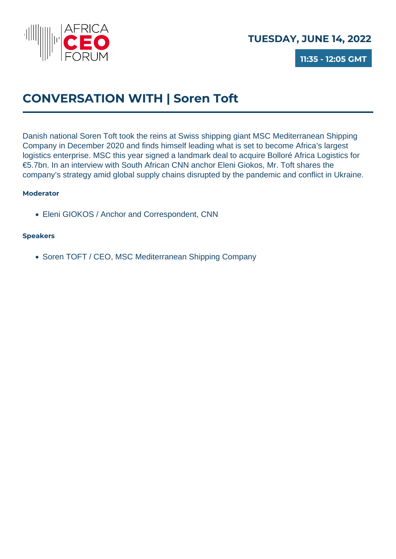

**11:35 - 12:05 GMT**

## **CONVERSATION WITH | Soren Toft**

Danish national Soren Toft took the reins at Swiss shipping giant MSC Mediterranean Shipping Company in December 2020 and finds himself leading what is set to become Africa's largest logistics enterprise. MSC this year signed a landmark deal to acquire Bolloré Africa Logistics for €5.7bn. In an interview with South African CNN anchor Eleni Giokos, Mr. Toft shares the company's strategy amid global supply chains disrupted by the pandemic and conflict in Ukraine.

### **Moderator**

Eleni GIOKOS / Anchor and Correspondent, CNN

### **Speakers**

• Soren TOFT / CEO, MSC Mediterranean Shipping Company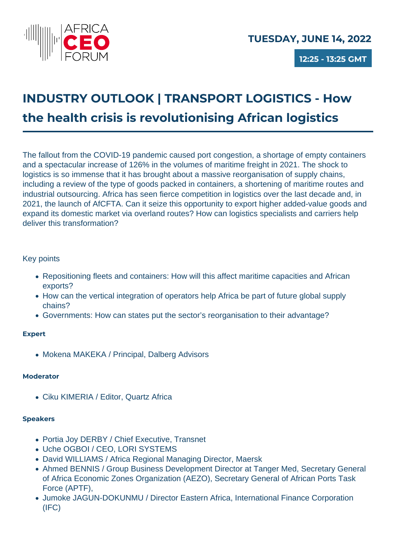

**12:25 - 13:25 GMT**

# **INDUSTRY OUTLOOK | TRANSPORT LOGISTICS - How the health crisis is revolutionising African logistics**

The fallout from the COVID-19 pandemic caused port congestion, a shortage of empty containers and a spectacular increase of 126% in the volumes of maritime freight in 2021. The shock to logistics is so immense that it has brought about a massive reorganisation of supply chains, including a review of the type of goods packed in containers, a shortening of maritime routes and industrial outsourcing. Africa has seen fierce competition in logistics over the last decade and, in 2021, the launch of AfCFTA. Can it seize this opportunity to export higher added-value goods and expand its domestic market via overland routes? How can logistics specialists and carriers help deliver this transformation?

### Key points

- Repositioning fleets and containers: How will this affect maritime capacities and African exports?
- How can the vertical integration of operators help Africa be part of future global supply chains?
- Governments: How can states put the sector's reorganisation to their advantage?

### **Expert**

• Mokena MAKEKA / Principal, Dalberg Advisors

### **Moderator**

Ciku KIMERIA / Editor, Quartz Africa

- Portia Joy DERBY / Chief Executive, Transnet
- Uche OGBOI / CEO, LORI SYSTEMS
- David WILLIAMS / Africa Regional Managing Director, Maersk
- Ahmed BENNIS / Group Business Development Director at Tanger Med, Secretary General of Africa Economic Zones Organization (AEZO), Secretary General of African Ports Task Force (APTF),
- Jumoke JAGUN-DOKUNMU / Director Eastern Africa, International Finance Corporation (IFC)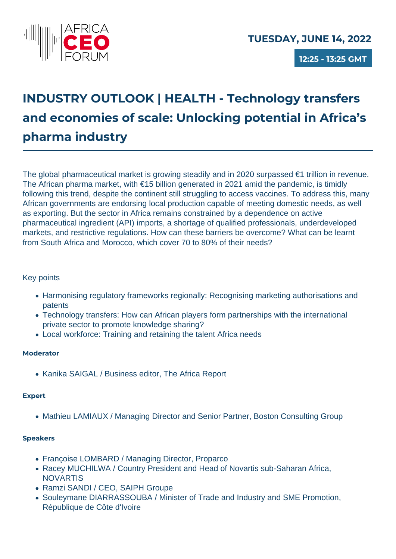

**12:25 - 13:25 GMT**

# **INDUSTRY OUTLOOK | HEALTH - Technology transfers and economies of scale: Unlocking potential in Africa's pharma industry**

The global pharmaceutical market is growing steadily and in 2020 surpassed €1 trillion in revenue. The African pharma market, with €15 billion generated in 2021 amid the pandemic, is timidly following this trend, despite the continent still struggling to access vaccines. To address this, many African governments are endorsing local production capable of meeting domestic needs, as well as exporting. But the sector in Africa remains constrained by a dependence on active pharmaceutical ingredient (API) imports, a shortage of qualified professionals, underdeveloped markets, and restrictive regulations. How can these barriers be overcome? What can be learnt from South Africa and Morocco, which cover 70 to 80% of their needs?

### Key points

- Harmonising regulatory frameworks regionally: Recognising marketing authorisations and patents
- Technology transfers: How can African players form partnerships with the international private sector to promote knowledge sharing?
- Local workforce: Training and retaining the talent Africa needs

### **Moderator**

• Kanika SAIGAL / Business editor, The Africa Report

### **Expert**

• Mathieu LAMIAUX / Managing Director and Senior Partner, Boston Consulting Group

- Françoise LOMBARD / Managing Director, Proparco
- Racey MUCHILWA / Country President and Head of Novartis sub-Saharan Africa, **NOVARTIS**
- Ramzi SANDI / CEO, SAIPH Groupe
- Souleymane DIARRASSOUBA / Minister of Trade and Industry and SME Promotion, République de Côte d'Ivoire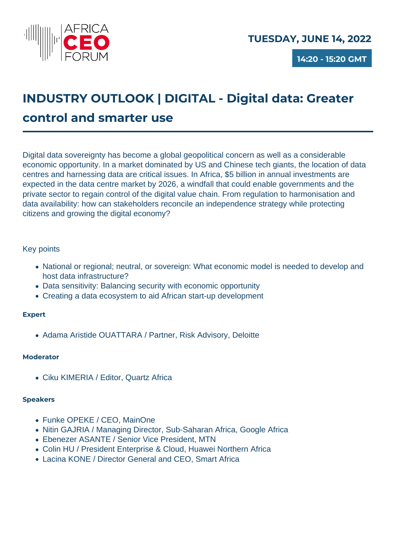

**14:20 - 15:20 GMT**

# **INDUSTRY OUTLOOK | DIGITAL - Digital data: Greater control and smarter use**

Digital data sovereignty has become a global geopolitical concern as well as a considerable economic opportunity. In a market dominated by US and Chinese tech giants, the location of data centres and harnessing data are critical issues. In Africa, \$5 billion in annual investments are expected in the data centre market by 2026, a windfall that could enable governments and the private sector to regain control of the digital value chain. From regulation to harmonisation and data availability: how can stakeholders reconcile an independence strategy while protecting citizens and growing the digital economy?

### Key points

- National or regional; neutral, or sovereign: What economic model is needed to develop and host data infrastructure?
- Data sensitivity: Balancing security with economic opportunity
- Creating a data ecosystem to aid African start-up development

### **Expert**

Adama Aristide OUATTARA / Partner, Risk Advisory, Deloitte

### **Moderator**

Ciku KIMERIA / Editor, Quartz Africa

- Funke OPEKE / CEO, MainOne
- Nitin GAJRIA / Managing Director, Sub-Saharan Africa, Google Africa
- Ebenezer ASANTE / Senior Vice President, MTN
- Colin HU / President Enterprise & Cloud, Huawei Northern Africa
- Lacina KONE / Director General and CEO, Smart Africa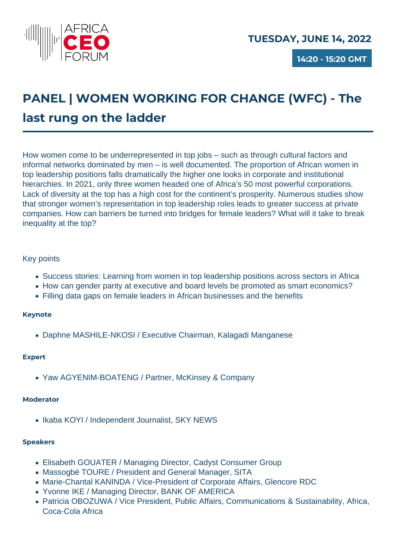

**14:20 - 15:20 GMT**

# **PANEL | WOMEN WORKING FOR CHANGE (WFC) - The last rung on the ladder**

How women come to be underrepresented in top jobs – such as through cultural factors and informal networks dominated by men – is well documented. The proportion of African women in top leadership positions falls dramatically the higher one looks in corporate and institutional hierarchies. In 2021, only three women headed one of Africa's 50 most powerful corporations. Lack of diversity at the top has a high cost for the continent's prosperity. Numerous studies show that stronger women's representation in top leadership roles leads to greater success at private companies. How can barriers be turned into bridges for female leaders? What will it take to break inequality at the top?

### Key points

- Success stories: Learning from women in top leadership positions across sectors in Africa
- How can gender parity at executive and board levels be promoted as smart economics?
- Filling data gaps on female leaders in African businesses and the benefits

### **Keynote**

Daphne MASHILE-NKOSI / Executive Chairman, Kalagadi Manganese

### **Expert**

Yaw AGYENIM-BOATENG / Partner, McKinsey & Company

#### **Moderator**

• Ikaba KOYI / Independent Journalist, SKY NEWS

- Elisabeth GOUATER / Managing Director, Cadyst Consumer Group
- Massogbè TOURE / President and General Manager, SITA
- Marie-Chantal KANINDA / Vice-President of Corporate Affairs, Glencore RDC
- Yvonne IKE / Managing Director, BANK OF AMERICA
- Patricia OBOZUWA / Vice President, Public Affairs, Communications & Sustainability, Africa, Coca-Cola Africa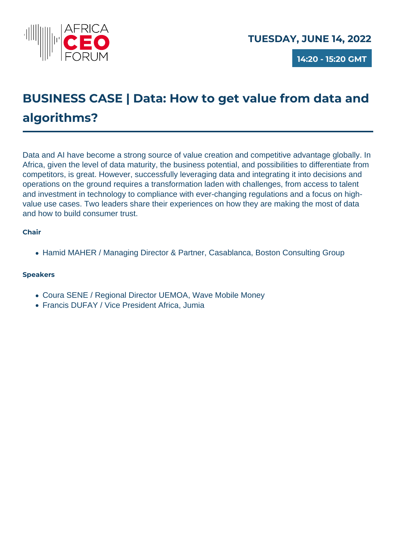

**14:20 - 15:20 GMT**

## **BUSINESS CASE | Data: How to get value from data and algorithms?**

Data and AI have become a strong source of value creation and competitive advantage globally. In Africa, given the level of data maturity, the business potential, and possibilities to differentiate from competitors, is great. However, successfully leveraging data and integrating it into decisions and operations on the ground requires a transformation laden with challenges, from access to talent and investment in technology to compliance with ever-changing regulations and a focus on highvalue use cases. Two leaders share their experiences on how they are making the most of data and how to build consumer trust.

### **Chair**

• Hamid MAHER / Managing Director & Partner, Casablanca, Boston Consulting Group

- Coura SENE / Regional Director UEMOA, Wave Mobile Money
- Francis DUFAY / Vice President Africa, Jumia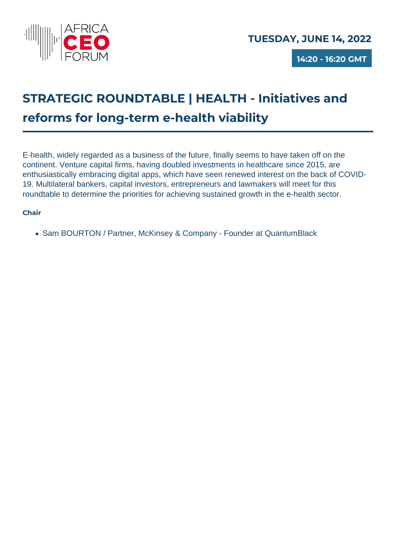

**14:20 - 16:20 GMT**

# **STRATEGIC ROUNDTABLE | HEALTH - Initiatives and reforms for long-term e-health viability**

E-health, widely regarded as a business of the future, finally seems to have taken off on the continent. Venture capital firms, having doubled investments in healthcare since 2015, are enthusiastically embracing digital apps, which have seen renewed interest on the back of COVID-19. Multilateral bankers, capital investors, entrepreneurs and lawmakers will meet for this roundtable to determine the priorities for achieving sustained growth in the e-health sector.

### **Chair**

• Sam BOURTON / Partner, McKinsey & Company - Founder at QuantumBlack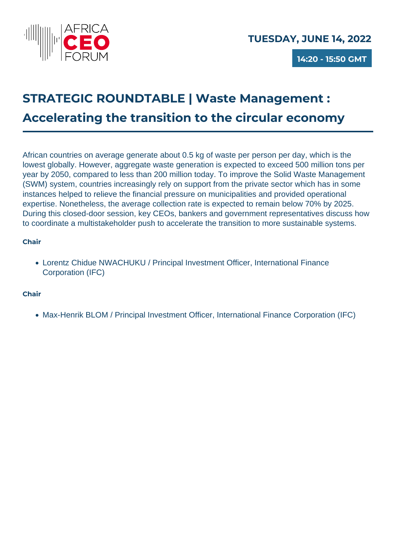

**14:20 - 15:50 GMT**

## **STRATEGIC ROUNDTABLE | Waste Management : Accelerating the transition to the circular economy**

African countries on average generate about 0.5 kg of waste per person per day, which is the lowest globally. However, aggregate waste generation is expected to exceed 500 million tons per year by 2050, compared to less than 200 million today. To improve the Solid Waste Management (SWM) system, countries increasingly rely on support from the private sector which has in some instances helped to relieve the financial pressure on municipalities and provided operational expertise. Nonetheless, the average collection rate is expected to remain below 70% by 2025. During this closed-door session, key CEOs, bankers and government representatives discuss how to coordinate a multistakeholder push to accelerate the transition to more sustainable systems.

### **Chair**

Lorentz Chidue NWACHUKU / Principal Investment Officer, International Finance Corporation (IFC)

### **Chair**

• Max-Henrik BLOM / Principal Investment Officer, International Finance Corporation (IFC)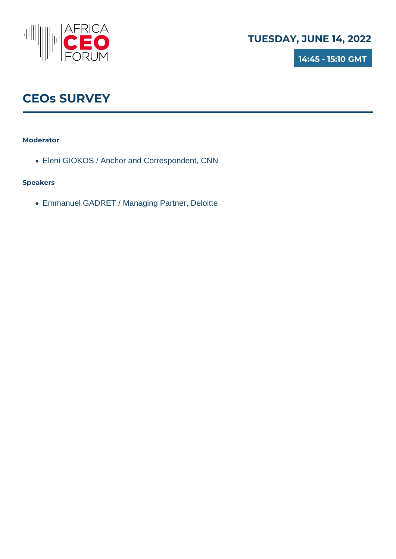

**14:45 - 15:10 GMT**

## **CEOs SURVEY**

### **Moderator**

Eleni GIOKOS / Anchor and Correspondent, CNN

### **Speakers**

Emmanuel GADRET / Managing Partner, Deloitte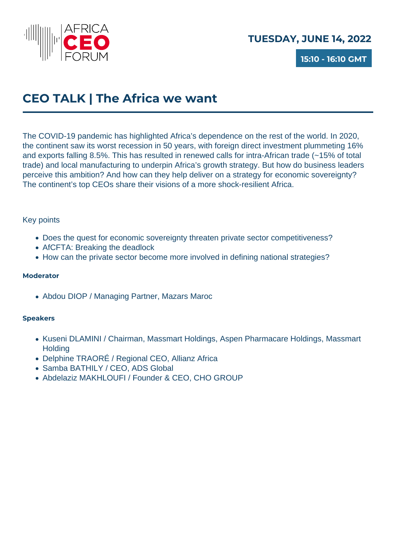

**15:10 - 16:10 GMT**

## **CEO TALK | The Africa we want**

The COVID-19 pandemic has highlighted Africa's dependence on the rest of the world. In 2020, the continent saw its worst recession in 50 years, with foreign direct investment plummeting 16% and exports falling 8.5%. This has resulted in renewed calls for intra-African trade (~15% of total trade) and local manufacturing to underpin Africa's growth strategy. But how do business leaders perceive this ambition? And how can they help deliver on a strategy for economic sovereignty? The continent's top CEOs share their visions of a more shock-resilient Africa.

### Key points

- Does the quest for economic sovereignty threaten private sector competitiveness?
- AfCFTA: Breaking the deadlock
- How can the private sector become more involved in defining national strategies?

### **Moderator**

Abdou DIOP / Managing Partner, Mazars Maroc

- Kuseni DLAMINI / Chairman, Massmart Holdings, Aspen Pharmacare Holdings, Massmart **Holding**
- Delphine TRAORÉ / Regional CEO, Allianz Africa
- Samba BATHILY / CEO, ADS Global
- Abdelaziz MAKHLOUFI / Founder & CEO, CHO GROUP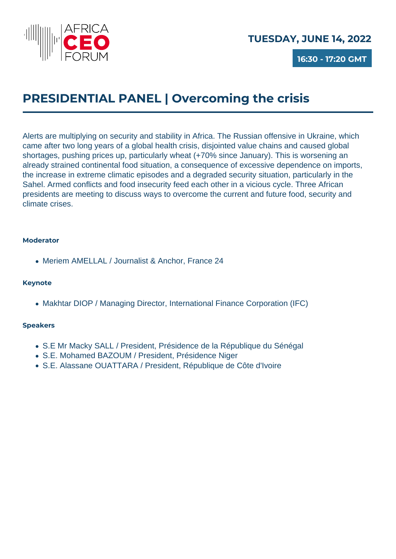

**16:30 - 17:20 GMT**

## **PRESIDENTIAL PANEL | Overcoming the crisis**

Alerts are multiplying on security and stability in Africa. The Russian offensive in Ukraine, which came after two long years of a global health crisis, disjointed value chains and caused global shortages, pushing prices up, particularly wheat (+70% since January). This is worsening an already strained continental food situation, a consequence of excessive dependence on imports, the increase in extreme climatic episodes and a degraded security situation, particularly in the Sahel. Armed conflicts and food insecurity feed each other in a vicious cycle. Three African presidents are meeting to discuss ways to overcome the current and future food, security and climate crises.

#### **Moderator**

Meriem AMELLAL / Journalist & Anchor, France 24

### **Keynote**

• Makhtar DIOP / Managing Director, International Finance Corporation (IFC)

- S.E Mr Macky SALL / President, Présidence de la République du Sénégal
- S.E. Mohamed BAZOUM / President, Présidence Niger
- S.E. Alassane OUATTARA / President, République de Côte d'Ivoire